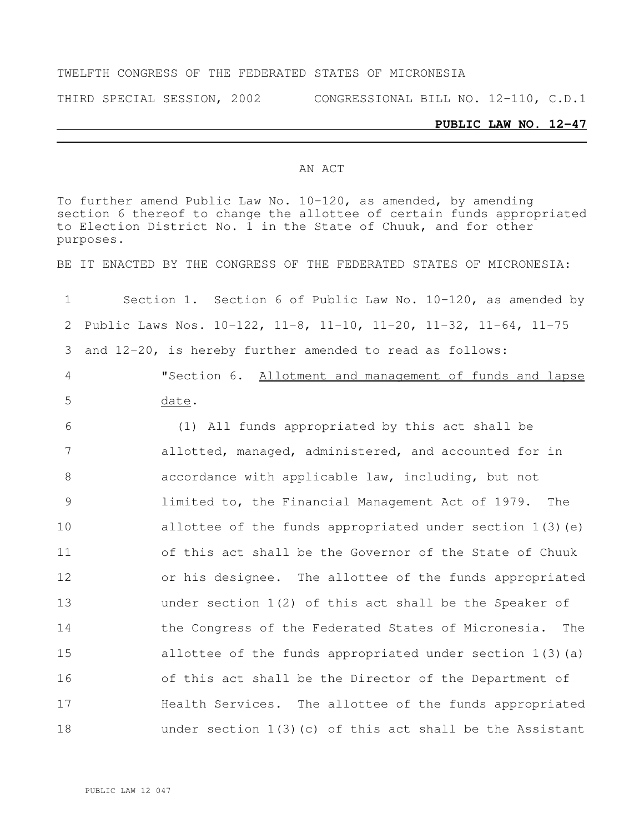#### TWELFTH CONGRESS OF THE FEDERATED STATES OF MICRONESIA

THIRD SPECIAL SESSION, 2002 CONGRESSIONAL BILL NO. 12-110, C.D.1

#### **PUBLIC LAW NO. 12-47**

#### AN ACT

To further amend Public Law No. 10-120, as amended, by amending section 6 thereof to change the allottee of certain funds appropriated to Election District No. 1 in the State of Chuuk, and for other purposes. BE IT ENACTED BY THE CONGRESS OF THE FEDERATED STATES OF MICRONESIA: Section 1. Section 6 of Public Law No. 10-120, as amended by Public Laws Nos. 10-122, 11-8, 11-10, 11-20, 11-32, 11-64, 11-75 and 12-20, is hereby further amended to read as follows: "Section 6. Allotment and management of funds and lapse date. (1) All funds appropriated by this act shall be allotted, managed, administered, and accounted for in accordance with applicable law, including, but not limited to, the Financial Management Act of 1979. The allottee of the funds appropriated under section 1(3)(e) of this act shall be the Governor of the State of Chuuk or his designee. The allottee of the funds appropriated under section 1(2) of this act shall be the Speaker of 14 the Congress of the Federated States of Micronesia. The allottee of the funds appropriated under section 1(3)(a) of this act shall be the Director of the Department of Health Services. The allottee of the funds appropriated under section 1(3)(c) of this act shall be the Assistant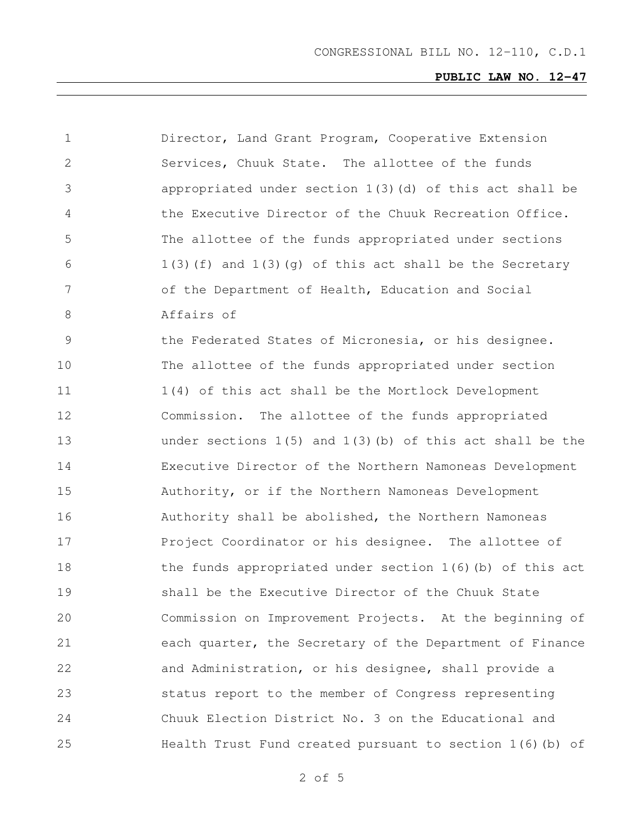| $\mathbf 1$  | Director, Land Grant Program, Cooperative Extension           |
|--------------|---------------------------------------------------------------|
| $\mathbf{2}$ | Services, Chuuk State. The allottee of the funds              |
| 3            | appropriated under section 1(3)(d) of this act shall be       |
| 4            | the Executive Director of the Chuuk Recreation Office.        |
| 5            | The allottee of the funds appropriated under sections         |
| 6            | $1(3)$ (f) and $1(3)$ (g) of this act shall be the Secretary  |
| 7            | of the Department of Health, Education and Social             |
| 8            | Affairs of                                                    |
| 9            | the Federated States of Micronesia, or his designee.          |
| 10           | The allottee of the funds appropriated under section          |
| 11           | 1(4) of this act shall be the Mortlock Development            |
| 12           | Commission. The allottee of the funds appropriated            |
| 13           | under sections $1(5)$ and $1(3)$ (b) of this act shall be the |
| 14           | Executive Director of the Northern Namoneas Development       |
| 15           | Authority, or if the Northern Namoneas Development            |
| 16           | Authority shall be abolished, the Northern Namoneas           |
| 17           | Project Coordinator or his designee. The allottee of          |
| 18           | the funds appropriated under section $1(6)$ (b) of this act   |
| 19           | shall be the Executive Director of the Chuuk State            |
| 20           | Commission on Improvement Projects. At the beginning of       |
| 21           | each quarter, the Secretary of the Department of Finance      |
| 22           | and Administration, or his designee, shall provide a          |
| 23           | status report to the member of Congress representing          |
| 24           | Chuuk Election District No. 3 on the Educational and          |
| 25           | Health Trust Fund created pursuant to section $1(6)$ (b) of   |

of 5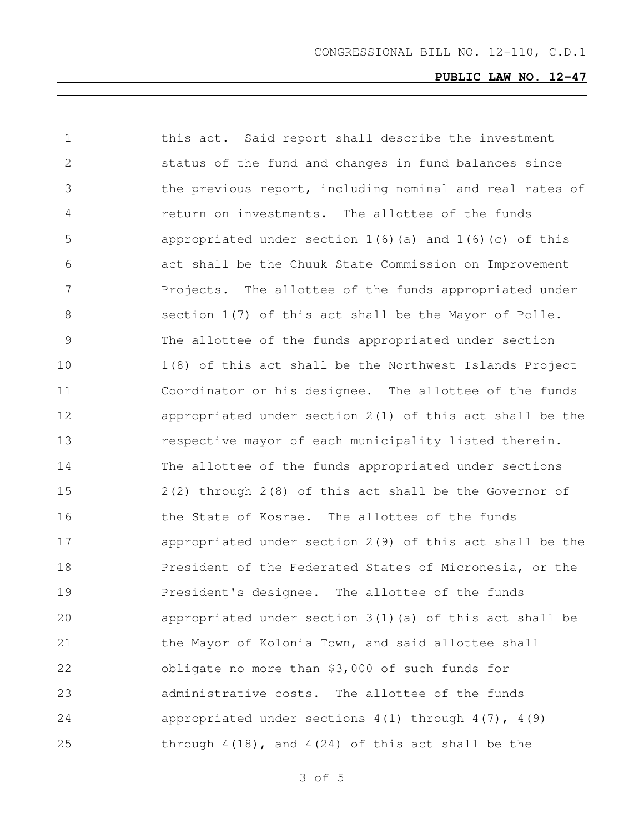| 1             | this act. Said report shall describe the investment          |
|---------------|--------------------------------------------------------------|
| 2             | status of the fund and changes in fund balances since        |
| 3             | the previous report, including nominal and real rates of     |
| 4             | return on investments. The allottee of the funds             |
| 5             | appropriated under section $1(6)$ (a) and $1(6)$ (c) of this |
| 6             | act shall be the Chuuk State Commission on Improvement       |
| 7             | Projects. The allottee of the funds appropriated under       |
| 8             | section 1(7) of this act shall be the Mayor of Polle.        |
| $\mathcal{G}$ | The allottee of the funds appropriated under section         |
| 10            | 1(8) of this act shall be the Northwest Islands Project      |
| 11            | Coordinator or his designee. The allottee of the funds       |
| 12            | appropriated under section $2(1)$ of this act shall be the   |
| 13            | respective mayor of each municipality listed therein.        |
| 14            | The allottee of the funds appropriated under sections        |
| 15            | 2(2) through 2(8) of this act shall be the Governor of       |
| 16            | the State of Kosrae. The allottee of the funds               |
| 17            | appropriated under section $2(9)$ of this act shall be the   |
| 18            | President of the Federated States of Micronesia, or the      |
| 19            | President's designee. The allottee of the funds              |
| 20            | appropriated under section $3(1)$ (a) of this act shall be   |
| 21            | the Mayor of Kolonia Town, and said allottee shall           |
| 22            | obligate no more than \$3,000 of such funds for              |
| 23            | administrative costs. The allottee of the funds              |
| 24            | appropriated under sections $4(1)$ through $4(7)$ , $4(9)$   |
| 25            | through $4(18)$ , and $4(24)$ of this act shall be the       |

of 5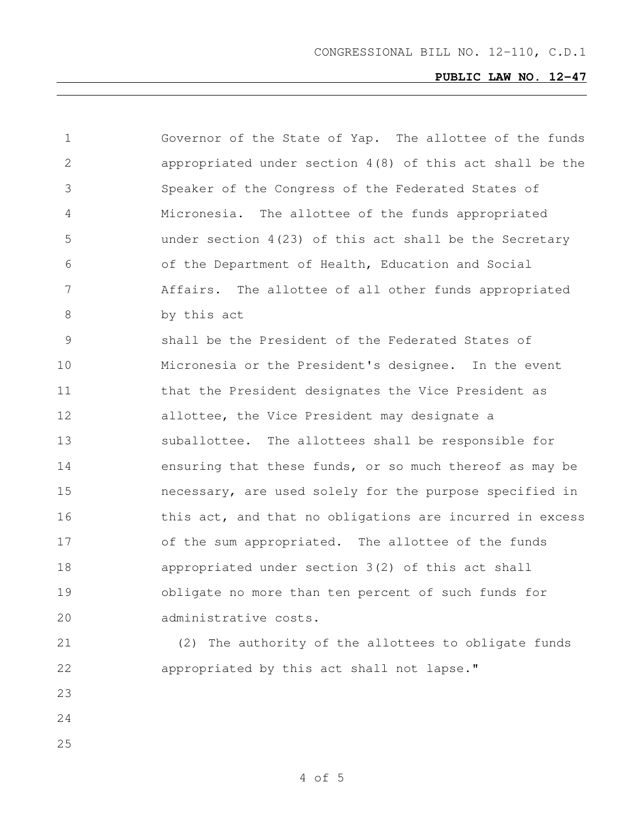| $\mathbf 1$   | Governor of the State of Yap. The allottee of the funds    |  |  |  |  |  |  |
|---------------|------------------------------------------------------------|--|--|--|--|--|--|
| $\mathbf{2}$  | appropriated under section $4(8)$ of this act shall be the |  |  |  |  |  |  |
| 3             | Speaker of the Congress of the Federated States of         |  |  |  |  |  |  |
| 4             | Micronesia. The allottee of the funds appropriated         |  |  |  |  |  |  |
| 5             | under section $4(23)$ of this act shall be the Secretary   |  |  |  |  |  |  |
| 6             | of the Department of Health, Education and Social          |  |  |  |  |  |  |
| 7             | Affairs. The allottee of all other funds appropriated      |  |  |  |  |  |  |
| 8             | by this act                                                |  |  |  |  |  |  |
| $\mathcal{G}$ | shall be the President of the Federated States of          |  |  |  |  |  |  |
| 10            | Micronesia or the President's designee. In the event       |  |  |  |  |  |  |
| 11            | that the President designates the Vice President as        |  |  |  |  |  |  |
| 12            | allottee, the Vice President may designate a               |  |  |  |  |  |  |
| 13            | suballottee. The allottees shall be responsible for        |  |  |  |  |  |  |
| 14            | ensuring that these funds, or so much thereof as may be    |  |  |  |  |  |  |
| 15            | necessary, are used solely for the purpose specified in    |  |  |  |  |  |  |
| 16            | this act, and that no obligations are incurred in excess   |  |  |  |  |  |  |
| 17            | of the sum appropriated. The allottee of the funds         |  |  |  |  |  |  |
| 18            | appropriated under section 3(2) of this act shall          |  |  |  |  |  |  |
| 19            | obligate no more than ten percent of such funds for        |  |  |  |  |  |  |
| 20            | administrative costs.                                      |  |  |  |  |  |  |
| 21            | (2) The authority of the allottees to obligate funds       |  |  |  |  |  |  |
| 22            | appropriated by this act shall not lapse."                 |  |  |  |  |  |  |
| 23            |                                                            |  |  |  |  |  |  |
| 24            |                                                            |  |  |  |  |  |  |
| 25            |                                                            |  |  |  |  |  |  |
|               |                                                            |  |  |  |  |  |  |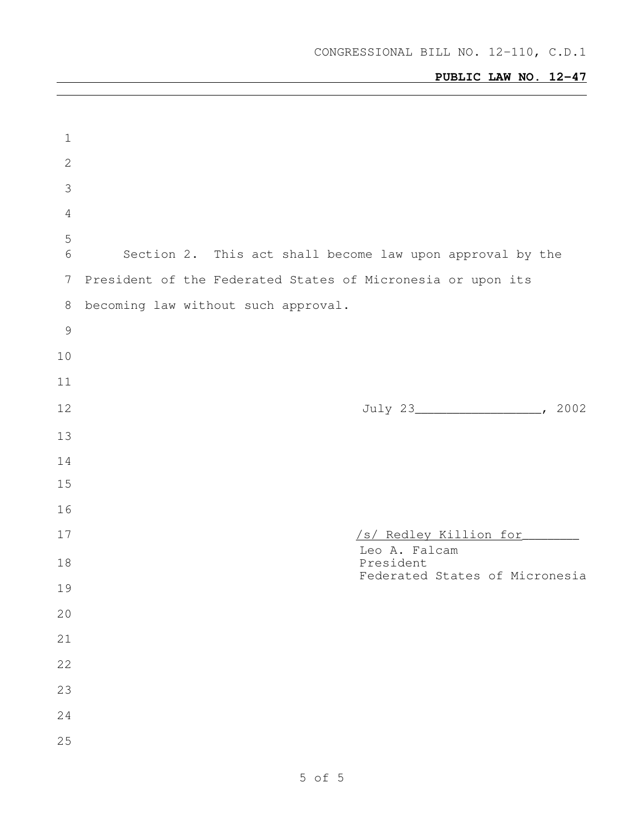| $\mathbf 1$    |                                                             |
|----------------|-------------------------------------------------------------|
| $\sqrt{2}$     |                                                             |
| 3              |                                                             |
| $\overline{4}$ |                                                             |
| 5<br>6         | Section 2. This act shall become law upon approval by the   |
| 7              | President of the Federated States of Micronesia or upon its |
| 8              | becoming law without such approval.                         |
| $\mathcal{G}$  |                                                             |
| 10             |                                                             |
| 11             |                                                             |
| 12             |                                                             |
| 13             |                                                             |
| 14             |                                                             |
| 15             |                                                             |
| 16             |                                                             |
| 17             | /s/ Redley Killion for                                      |
| 18             | Leo A. Falcam<br>President                                  |
| 19             | Federated States of Micronesia                              |
| 20             |                                                             |
| 21             |                                                             |
| 22             |                                                             |
| 23             |                                                             |
| 24             |                                                             |
| 25             |                                                             |